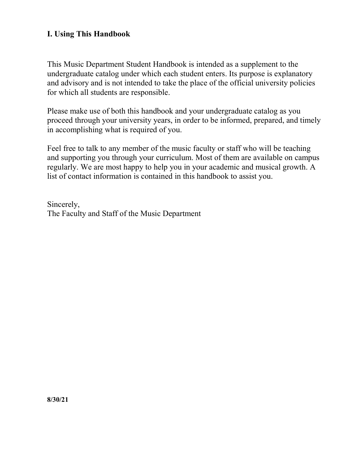# I. Using This Handbook

This Music Department Student Handbook is intended as a supplement to the undergraduate catalog under which each student enters. Its purpose is explanatory and advisory and is not intended to take the place of the official university policies for which all students are responsible.

Please make use of both this handbook and your undergraduate catalog as you proceed through your university years, in order to be informed, prepared, and timely in accomplishing what is required of you.

Feel free to talk to any member of the music faculty or staff who will be teaching and supporting you through your curriculum. Most of them are available on campus regularly. We are most happy to help you in your academic and musical growth. A list of contact information is contained in this handbook to assist you.

Sincerely, The Faculty and Staff of the Music Department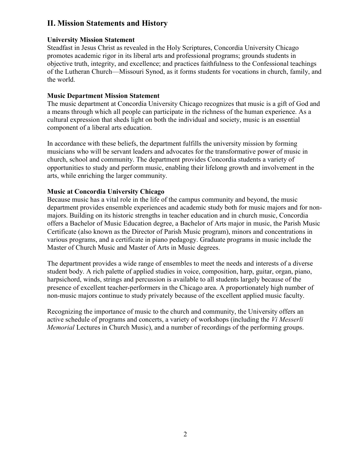# II. Mission Statements and History

#### University Mission Statement

Steadfast in Jesus Christ as revealed in the Holy Scriptures, Concordia University Chicago promotes academic rigor in its liberal arts and professional programs; grounds students in objective truth, integrity, and excellence; and practices faithfulness to the Confessional teachings of the Lutheran Church—Missouri Synod, as it forms students for vocations in church, family, and the world.

#### Music Department Mission Statement

The music department at Concordia University Chicago recognizes that music is a gift of God and a means through which all people can participate in the richness of the human experience. As a cultural expression that sheds light on both the individual and society, music is an essential component of a liberal arts education.

In accordance with these beliefs, the department fulfills the university mission by forming musicians who will be servant leaders and advocates for the transformative power of music in church, school and community. The department provides Concordia students a variety of opportunities to study and perform music, enabling their lifelong growth and involvement in the arts, while enriching the larger community.

#### Music at Concordia University Chicago

Because music has a vital role in the life of the campus community and beyond, the music department provides ensemble experiences and academic study both for music majors and for nonmajors. Building on its historic strengths in teacher education and in church music, Concordia offers a Bachelor of Music Education degree, a Bachelor of Arts major in music, the Parish Music Certificate (also known as the Director of Parish Music program), minors and concentrations in various programs, and a certificate in piano pedagogy. Graduate programs in music include the Master of Church Music and Master of Arts in Music degrees.

The department provides a wide range of ensembles to meet the needs and interests of a diverse student body. A rich palette of applied studies in voice, composition, harp, guitar, organ, piano, harpsichord, winds, strings and percussion is available to all students largely because of the presence of excellent teacher-performers in the Chicago area. A proportionately high number of non-music majors continue to study privately because of the excellent applied music faculty.

Recognizing the importance of music to the church and community, the University offers an active schedule of programs and concerts, a variety of workshops (including the Vi Messerli Memorial Lectures in Church Music), and a number of recordings of the performing groups.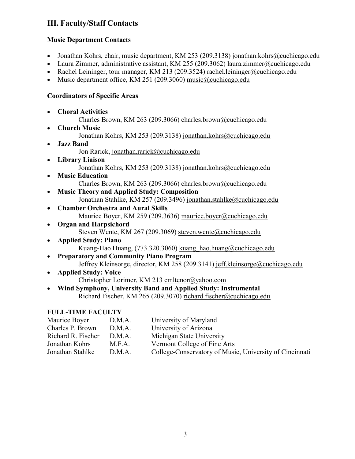# III. Faculty/Staff Contacts

# Music Department Contacts

- Jonathan Kohrs, chair, music department, KM 253 (209.3138) jonathan.kohrs@cuchicago.edu
- Laura Zimmer, administrative assistant, KM 255 (209.3062) laura.zimmer@cuchicago.edu
- Rachel Leininger, tour manager, KM 213 (209.3524) rachel.leininger@cuchicago.edu
- Music department office, KM 251 (209.3060) music@cuchicago.edu

# Coordinators of Specific Areas

- Choral Activities
	- Charles Brown, KM 263 (209.3066) charles.brown@cuchicago.edu
- Church Music Jonathan Kohrs, KM 253 (209.3138) jonathan.kohrs@cuchicago.edu Jazz Band Jon Rarick, jonathan.rarick@cuchicago.edu
- Library Liaison
	- Jonathan Kohrs, KM 253 (209.3138) jonathan.kohrs@cuchicago.edu
- Music Education Charles Brown, KM 263 (209.3066) charles.brown@cuchicago.edu
- Music Theory and Applied Study: Composition Jonathan Stahlke, KM 257 (209.3496) jonathan.stahlke@cuchicago.edu
- Chamber Orchestra and Aural Skills Maurice Boyer, KM 259 (209.3636) maurice.boyer@cuchicago.edu
- Organ and Harpsichord Steven Wente, KM 267 (209.3069) steven.wente@cuchicago.edu
- Applied Study: Piano Kuang-Hao Huang, (773.320.3060) kuang\_hao.huang@cuchicago.edu
- Preparatory and Community Piano Program Jeffrey Kleinsorge, director, KM 258 (209.3141) jeff.kleinsorge@cuchicago.edu
- Applied Study: Voice Christopher Lorimer, KM 213 cmltenor@yahoo.com
- Wind Symphony, University Band and Applied Study: Instrumental Richard Fischer, KM 265 (209.3070) richard.fischer@cuchicago.edu

# FULL-TIME FACULTY

| Maurice Boyer      | D.M.A. | University of Maryland                                  |
|--------------------|--------|---------------------------------------------------------|
| Charles P. Brown   | D.M.A. | University of Arizona                                   |
| Richard R. Fischer | D.M.A. | Michigan State University                               |
| Jonathan Kohrs     | M.F.A. | Vermont College of Fine Arts                            |
| Jonathan Stahlke   | D.M.A. | College-Conservatory of Music, University of Cincinnati |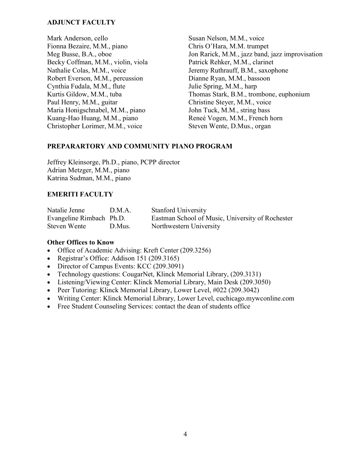#### ADJUNCT FACULTY

Mark Anderson, cello Fionna Bezaire, M.M., piano Meg Busse, B.A., oboe Becky Coffman, M.M., violin, viola Nathalie Colas, M.M., voice Robert Everson, M.M., percussion Cynthia Fudala, M.M., flute Kurtis Gildow, M.M., tuba Paul Henry, M.M., guitar Maria Honigschnabel, M.M., piano Kuang-Hao Huang, M.M., piano Christopher Lorimer, M.M., voice

Susan Nelson, M.M., voice Chris O'Hara, M.M. trumpet Jon Rarick, M.M., jazz band, jazz improvisation Patrick Rehker, M.M., clarinet Jeremy Ruthrauff, B.M., saxophone Dianne Ryan, M.M., bassoon Julie Spring, M.M., harp Thomas Stark, B.M., trombone, euphonium Christine Steyer, M.M., voice John Tuck, M.M., string bass Reneé Vogen, M.M., French horn Steven Wente, D.Mus., organ

#### PREPARARTORY AND COMMUNITY PIANO PROGRAM

Jeffrey Kleinsorge, Ph.D., piano, PCPP director Adrian Metzger, M.M., piano Katrina Sudman, M.M., piano

### EMERITI FACULTY

| Natalie Jenne            | D.M.A. | <b>Stanford University</b>                       |
|--------------------------|--------|--------------------------------------------------|
| Evangeline Rimbach Ph.D. |        | Eastman School of Music, University of Rochester |
| Steven Wente             | D.Mus. | Northwestern University                          |

#### Other Offices to Know

- Office of Academic Advising: Kreft Center (209.3256)
- Registrar's Office: Addison 151 (209.3165)
- Director of Campus Events: KCC (209.3091)
- Technology questions: CougarNet, Klinck Memorial Library, (209.3131)
- Listening/Viewing Center: Klinck Memorial Library, Main Desk (209.3050)
- Peer Tutoring: Klinck Memorial Library, Lower Level, #022 (209.3042)
- Writing Center: Klinck Memorial Library, Lower Level, cuchicago.mywconline.com
- Free Student Counseling Services: contact the dean of students office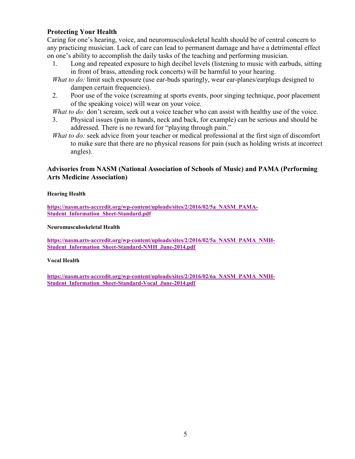#### Protecting Your Health

Caring for one's hearing, voice, and neuromusculoskeletal health should be of central concern to any practicing musician. Lack of care can lead to permanent damage and have a detrimental effect on one's ability to accomplish the daily tasks of the teaching and performing musician.

- 1. Long and repeated exposure to high decibel levels (listening to music with earbuds, sitting in front of brass, attending rock concerts) will be harmful to your hearing.
- What to do: limit such exposure (use ear-buds sparingly, wear ear-planes/earplugs designed to dampen certain frequencies).
- 2. Poor use of the voice (screaming at sports events, poor singing technique, poor placement of the speaking voice) will wear on your voice.

What to do: don't scream, seek out a voice teacher who can assist with healthy use of the voice.

- 3. Physical issues (pain in hands, neck and back, for example) can be serious and should be addressed. There is no reward for "playing through pain."
- What to do: seek advice from your teacher or medical professional at the first sign of discomfort to make sure that there are no physical reasons for pain (such as holding wrists at incorrect angles).

#### Advisories from NASM (National Association of Schools of Music) and PAMA (Performing Arts Medicine Association)

Hearing Health

https://nasm.arts-accredit.org/wp-content/uploads/sites/2/2016/02/5a\_NASM\_PAMA-Student\_Information\_Sheet-Standard.pdf

#### Neuromusculoskeletal Health

https://nasm.arts-accredit.org/wp-content/uploads/sites/2/2016/02/5a\_NASM\_PAMA\_NMH-Student\_Information\_Sheet-Standard-NMH\_June-2014.pdf

#### Vocal Health

https://nasm.arts-accredit.org/wp-content/uploads/sites/2/2016/02/6a\_NASM\_PAMA\_NMH-Student\_Information\_Sheet-Standard-Vocal\_June-2014.pdf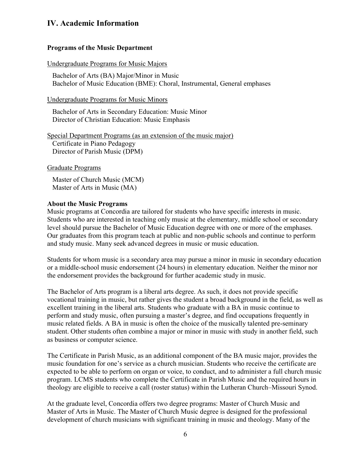# IV. Academic Information

#### Programs of the Music Department

#### Undergraduate Programs for Music Majors

Bachelor of Arts (BA) Major/Minor in Music Bachelor of Music Education (BME): Choral, Instrumental, General emphases

Undergraduate Programs for Music Minors

Bachelor of Arts in Secondary Education: Music Minor Director of Christian Education: Music Emphasis

Special Department Programs (as an extension of the music major) Certificate in Piano Pedagogy Director of Parish Music (DPM)

Graduate Programs

 Master of Church Music (MCM) Master of Arts in Music (MA)

#### About the Music Programs

Music programs at Concordia are tailored for students who have specific interests in music. Students who are interested in teaching only music at the elementary, middle school or secondary level should pursue the Bachelor of Music Education degree with one or more of the emphases. Our graduates from this program teach at public and non-public schools and continue to perform and study music. Many seek advanced degrees in music or music education.

Students for whom music is a secondary area may pursue a minor in music in secondary education or a middle-school music endorsement (24 hours) in elementary education. Neither the minor nor the endorsement provides the background for further academic study in music.

The Bachelor of Arts program is a liberal arts degree. As such, it does not provide specific vocational training in music, but rather gives the student a broad background in the field, as well as excellent training in the liberal arts. Students who graduate with a BA in music continue to perform and study music, often pursuing a master's degree, and find occupations frequently in music related fields. A BA in music is often the choice of the musically talented pre-seminary student. Other students often combine a major or minor in music with study in another field, such as business or computer science.

The Certificate in Parish Music, as an additional component of the BA music major, provides the music foundation for one's service as a church musician. Students who receive the certificate are expected to be able to perform on organ or voice, to conduct, and to administer a full church music program. LCMS students who complete the Certificate in Parish Music and the required hours in theology are eligible to receive a call (roster status) within the Lutheran Church–Missouri Synod.

At the graduate level, Concordia offers two degree programs: Master of Church Music and Master of Arts in Music. The Master of Church Music degree is designed for the professional development of church musicians with significant training in music and theology. Many of the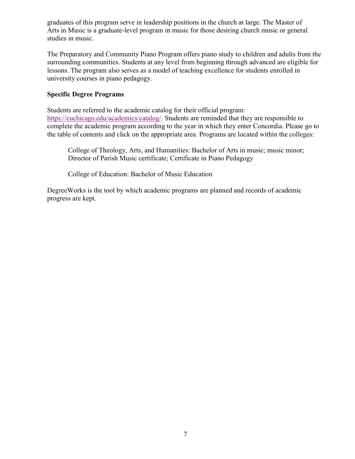graduates of this program serve in leadership positions in the church at large. The Master of Arts in Music is a graduate-level program in music for those desiring church music or general studies in music.

The Preparatory and Community Piano Program offers piano study to children and adults from the surrounding communities. Students at any level from beginning through advanced are eligible for lessons. The program also serves as a model of teaching excellence for students enrolled in university courses in piano pedagogy.

#### Specific Degree Programs

Students are referred to the academic catalog for their official program: https://cuchicago.edu/academics/catalog/. Students are reminded that they are responsible to complete the academic program according to the year in which they enter Concordia. Please go to the table of contents and click on the appropriate area. Programs are located within the colleges:

College of Theology, Arts, and Humanities: Bachelor of Arts in music; music minor; Director of Parish Music certificate; Certificate in Piano Pedagogy

College of Education: Bachelor of Music Education

DegreeWorks is the tool by which academic programs are planned and records of academic progress are kept.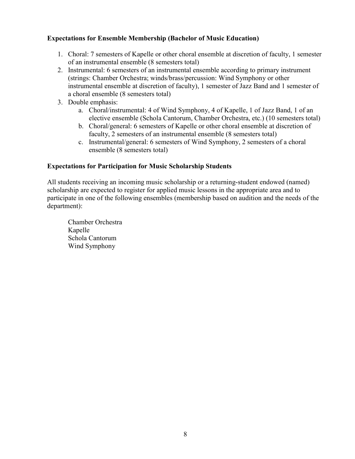### Expectations for Ensemble Membership (Bachelor of Music Education)

- 1. Choral: 7 semesters of Kapelle or other choral ensemble at discretion of faculty, 1 semester of an instrumental ensemble (8 semesters total)
- 2. Instrumental: 6 semesters of an instrumental ensemble according to primary instrument (strings: Chamber Orchestra; winds/brass/percussion: Wind Symphony or other instrumental ensemble at discretion of faculty), 1 semester of Jazz Band and 1 semester of a choral ensemble (8 semesters total)
- 3. Double emphasis:
	- a. Choral/instrumental: 4 of Wind Symphony, 4 of Kapelle, 1 of Jazz Band, 1 of an elective ensemble (Schola Cantorum, Chamber Orchestra, etc.) (10 semesters total)
	- b. Choral/general: 6 semesters of Kapelle or other choral ensemble at discretion of faculty, 2 semesters of an instrumental ensemble (8 semesters total)
	- c. Instrumental/general: 6 semesters of Wind Symphony, 2 semesters of a choral ensemble (8 semesters total)

#### Expectations for Participation for Music Scholarship Students

All students receiving an incoming music scholarship or a returning-student endowed (named) scholarship are expected to register for applied music lessons in the appropriate area and to participate in one of the following ensembles (membership based on audition and the needs of the department):

Chamber Orchestra Kapelle Schola Cantorum Wind Symphony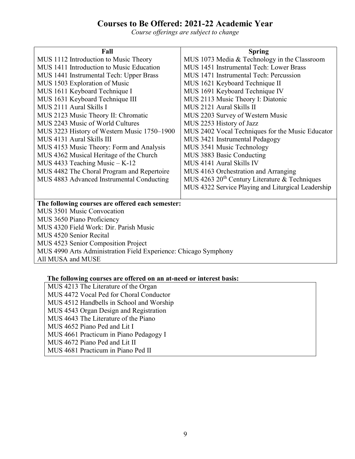# Courses to Be Offered: 2021-22 Academic Year

Course offerings are subject to change

| Fall                                                                           | <b>Spring</b>                                             |  |
|--------------------------------------------------------------------------------|-----------------------------------------------------------|--|
| MUS 1112 Introduction to Music Theory                                          | MUS 1073 Media & Technology in the Classroom              |  |
| MUS 1411 Introduction to Music Education                                       | MUS 1451 Instrumental Tech: Lower Brass                   |  |
| MUS 1441 Instrumental Tech: Upper Brass                                        | MUS 1471 Instrumental Tech: Percussion                    |  |
| MUS 1503 Exploration of Music                                                  | MUS 1621 Keyboard Technique II                            |  |
| MUS 1611 Keyboard Technique I                                                  | MUS 1691 Keyboard Technique IV                            |  |
| MUS 1631 Keyboard Technique III                                                | MUS 2113 Music Theory I: Diatonic                         |  |
| MUS 2111 Aural Skills I                                                        | MUS 2121 Aural Skills II                                  |  |
| MUS 2123 Music Theory II: Chromatic                                            | MUS 2203 Survey of Western Music                          |  |
| MUS 2243 Music of World Cultures                                               | MUS 2253 History of Jazz                                  |  |
| MUS 3223 History of Western Music 1750–1900                                    | MUS 2402 Vocal Techniques for the Music Educator          |  |
| MUS 4131 Aural Skills III                                                      | MUS 3421 Instrumental Pedagogy                            |  |
| MUS 4153 Music Theory: Form and Analysis                                       | MUS 3541 Music Technology                                 |  |
| MUS 4362 Musical Heritage of the Church                                        | MUS 3883 Basic Conducting                                 |  |
| MUS 4433 Teaching Music $-K-12$                                                | MUS 4141 Aural Skills IV                                  |  |
| MUS 4482 The Choral Program and Repertoire                                     | MUS 4163 Orchestration and Arranging                      |  |
| MUS 4883 Advanced Instrumental Conducting                                      | MUS 4263 20 <sup>th</sup> Century Literature & Techniques |  |
|                                                                                | MUS 4322 Service Playing and Liturgical Leadership        |  |
|                                                                                |                                                           |  |
| The following courses are offered each semester:<br>MUS 3501 Music Convocation |                                                           |  |
| MUS 3650 Piano Proficiency                                                     |                                                           |  |
| MUS 4320 Field Work: Dir. Parish Music                                         |                                                           |  |
| MUS 4520 Senior Recital                                                        |                                                           |  |
| MUS 4523 Senior Composition Project                                            |                                                           |  |
| MUS 4990 Arts Administration Field Experience: Chicago Symphony                |                                                           |  |
| All MUSA and MUSE                                                              |                                                           |  |

| The following courses are offered on an at-need or interest basis: |  |  |  |  |  |  |
|--------------------------------------------------------------------|--|--|--|--|--|--|
|--------------------------------------------------------------------|--|--|--|--|--|--|

MUS 4213 The Literature of the Organ MUS 4472 Vocal Ped for Choral Conductor MUS 4512 Handbells in School and Worship MUS 4543 Organ Design and Registration MUS 4643 The Literature of the Piano MUS 4652 Piano Ped and Lit I MUS 4661 Practicum in Piano Pedagogy I MUS 4672 Piano Ped and Lit II MUS 4681 Practicum in Piano Ped II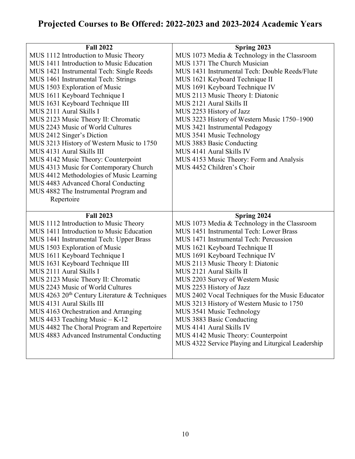# Projected Courses to Be Offered: 2022-2023 and 2023-2024 Academic Years

| <b>Fall 2022</b>                                | Spring 2023                                        |
|-------------------------------------------------|----------------------------------------------------|
| MUS 1112 Introduction to Music Theory           | MUS 1073 Media & Technology in the Classroom       |
| MUS 1411 Introduction to Music Education        | MUS 1371 The Church Musician                       |
| MUS 1421 Instrumental Tech: Single Reeds        | MUS 1431 Instrumental Tech: Double Reeds/Flute     |
| MUS 1461 Instrumental Tech: Strings             | MUS 1621 Keyboard Technique II                     |
| MUS 1503 Exploration of Music                   | MUS 1691 Keyboard Technique IV                     |
| MUS 1611 Keyboard Technique I                   | MUS 2113 Music Theory I: Diatonic                  |
| MUS 1631 Keyboard Technique III                 | MUS 2121 Aural Skills II                           |
| MUS 2111 Aural Skills I                         | MUS 2253 History of Jazz                           |
| MUS 2123 Music Theory II: Chromatic             | MUS 3223 History of Western Music 1750-1900        |
| MUS 2243 Music of World Cultures                | MUS 3421 Instrumental Pedagogy                     |
| MUS 2412 Singer's Diction                       | MUS 3541 Music Technology                          |
| MUS 3213 History of Western Music to 1750       | MUS 3883 Basic Conducting                          |
| MUS 4131 Aural Skills III                       | MUS 4141 Aural Skills IV                           |
| MUS 4142 Music Theory: Counterpoint             | MUS 4153 Music Theory: Form and Analysis           |
| MUS 4313 Music for Contemporary Church          | MUS 4452 Children's Choir                          |
| MUS 4412 Methodologies of Music Learning        |                                                    |
| MUS 4483 Advanced Choral Conducting             |                                                    |
| MUS 4882 The Instrumental Program and           |                                                    |
| Repertoire                                      |                                                    |
|                                                 |                                                    |
|                                                 |                                                    |
| <b>Fall 2023</b>                                | Spring 2024                                        |
| MUS 1112 Introduction to Music Theory           | MUS 1073 Media & Technology in the Classroom       |
| MUS 1411 Introduction to Music Education        | MUS 1451 Instrumental Tech: Lower Brass            |
| MUS 1441 Instrumental Tech: Upper Brass         | MUS 1471 Instrumental Tech: Percussion             |
| MUS 1503 Exploration of Music                   | MUS 1621 Keyboard Technique II                     |
| MUS 1611 Keyboard Technique I                   | MUS 1691 Keyboard Technique IV                     |
| MUS 1631 Keyboard Technique III                 | MUS 2113 Music Theory I: Diatonic                  |
| MUS 2111 Aural Skills I                         | MUS 2121 Aural Skills II                           |
| MUS 2123 Music Theory II: Chromatic             | MUS 2203 Survey of Western Music                   |
| MUS 2243 Music of World Cultures                | MUS 2253 History of Jazz                           |
| MUS 4263 $20th$ Century Literature & Techniques | MUS 2402 Vocal Techniques for the Music Educator   |
| MUS 4131 Aural Skills III                       | MUS 3213 History of Western Music to 1750          |
| MUS 4163 Orchestration and Arranging            | MUS 3541 Music Technology                          |
| MUS 4433 Teaching Music - K-12                  | MUS 3883 Basic Conducting                          |
| MUS 4482 The Choral Program and Repertoire      | MUS 4141 Aural Skills IV                           |
| MUS 4883 Advanced Instrumental Conducting       | MUS 4142 Music Theory: Counterpoint                |
|                                                 | MUS 4322 Service Playing and Liturgical Leadership |
|                                                 |                                                    |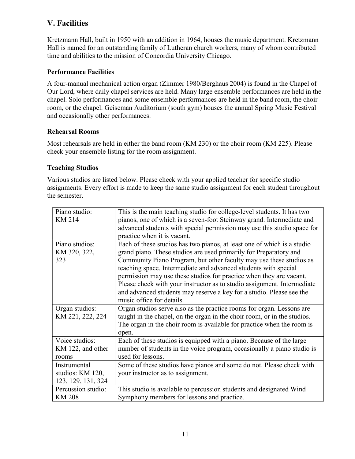# V. Facilities

Kretzmann Hall, built in 1950 with an addition in 1964, houses the music department. Kretzmann Hall is named for an outstanding family of Lutheran church workers, many of whom contributed time and abilities to the mission of Concordia University Chicago.

### Performance Facilities

A four-manual mechanical action organ (Zimmer 1980/Berghaus 2004) is found in the Chapel of Our Lord, where daily chapel services are held. Many large ensemble performances are held in the chapel. Solo performances and some ensemble performances are held in the band room, the choir room, or the chapel. Geiseman Auditorium (south gym) houses the annual Spring Music Festival and occasionally other performances.

#### Rehearsal Rooms

Most rehearsals are held in either the band room (KM 230) or the choir room (KM 225). Please check your ensemble listing for the room assignment.

### Teaching Studios

Various studios are listed below. Please check with your applied teacher for specific studio assignments. Every effort is made to keep the same studio assignment for each student throughout the semester.

| Piano studio:       | This is the main teaching studio for college-level students. It has two  |
|---------------------|--------------------------------------------------------------------------|
| KM 214              | pianos, one of which is a seven-foot Steinway grand. Intermediate and    |
|                     | advanced students with special permission may use this studio space for  |
|                     | practice when it is vacant.                                              |
| Piano studios:      | Each of these studios has two pianos, at least one of which is a studio  |
| KM 320, 322,        | grand piano. These studios are used primarily for Preparatory and        |
| 323                 | Community Piano Program, but other faculty may use these studios as      |
|                     | teaching space. Intermediate and advanced students with special          |
|                     | permission may use these studios for practice when they are vacant.      |
|                     | Please check with your instructor as to studio assignment. Intermediate  |
|                     | and advanced students may reserve a key for a studio. Please see the     |
|                     | music office for details.                                                |
| Organ studios:      | Organ studios serve also as the practice rooms for organ. Lessons are    |
| KM 221, 222, 224    | taught in the chapel, on the organ in the choir room, or in the studios. |
|                     | The organ in the choir room is available for practice when the room is   |
|                     | open.                                                                    |
| Voice studios:      | Each of these studios is equipped with a piano. Because of the large     |
| KM 122, and other   | number of students in the voice program, occasionally a piano studio is  |
| rooms               | used for lessons.                                                        |
| <b>Instrumental</b> | Some of these studios have pianos and some do not. Please check with     |
| studios: KM 120,    | your instructor as to assignment.                                        |
| 123, 129, 131, 324  |                                                                          |
| Percussion studio:  | This studio is available to percussion students and designated Wind      |
| <b>KM 208</b>       | Symphony members for lessons and practice.                               |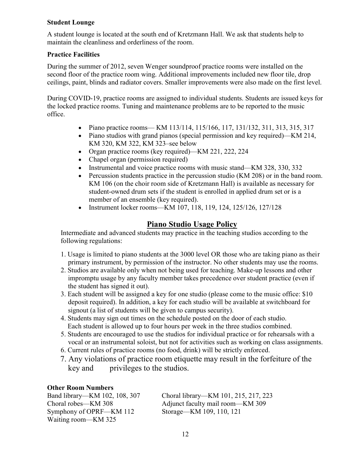#### Student Lounge

A student lounge is located at the south end of Kretzmann Hall. We ask that students help to maintain the cleanliness and orderliness of the room.

### Practice Facilities

During the summer of 2012, seven Wenger soundproof practice rooms were installed on the second floor of the practice room wing. Additional improvements included new floor tile, drop ceilings, paint, blinds and radiator covers. Smaller improvements were also made on the first level.

During COVID-19, practice rooms are assigned to individual students. Students are issued keys for the locked practice rooms. Tuning and maintenance problems are to be reported to the music office.

- Piano practice rooms— KM 113/114, 115/166, 117, 131/132, 311, 313, 315, 317
- Piano studios with grand pianos (special permission and key required)—KM 214, KM 320, KM 322, KM 323–see below
- Organ practice rooms (key required)—KM 221, 222, 224
- Chapel organ (permission required)
- Instrumental and voice practice rooms with music stand—KM 328, 330, 332
- Percussion students practice in the percussion studio (KM 208) or in the band room. KM 106 (on the choir room side of Kretzmann Hall) is available as necessary for student-owned drum sets if the student is enrolled in applied drum set or is a member of an ensemble (key required).
- Instrument locker rooms—KM 107, 118, 119, 124, 125/126, 127/128

# Piano Studio Usage Policy

Intermediate and advanced students may practice in the teaching studios according to the following regulations:

- 1. Usage is limited to piano students at the 3000 level OR those who are taking piano as their primary instrument, by permission of the instructor. No other students may use the rooms.
- 2. Studios are available only when not being used for teaching. Make-up lessons and other impromptu usage by any faculty member takes precedence over student practice (even if the student has signed it out).
- 3. Each student will be assigned a key for one studio (please come to the music office: \$10 deposit required). In addition, a key for each studio will be available at switchboard for signout (a list of students will be given to campus security).
- 4. Students may sign out times on the schedule posted on the door of each studio. Each student is allowed up to four hours per week in the three studios combined.
- 5. Students are encouraged to use the studios for individual practice or for rehearsals with a vocal or an instrumental soloist, but not for activities such as working on class assignments.
- 6. Current rules of practice rooms (no food, drink) will be strictly enforced.
- 7. Any violations of practice room etiquette may result in the forfeiture of the key and privileges to the studios.

## Other Room Numbers

Symphony of OPRF—KM 112 Storage—KM 109, 110, 121 Waiting room—KM 325

Band library—KM 102, 108, 307 Choral library—KM 101, 215, 217, 223 Choral robes—KM 308 Adjunct faculty mail room—KM 309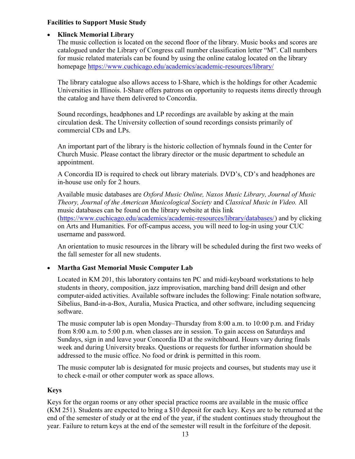#### Facilities to Support Music Study

# • Klinck Memorial Library

The music collection is located on the second floor of the library. Music books and scores are catalogued under the Library of Congress call number classification letter "M". Call numbers for music related materials can be found by using the online catalog located on the library homepage https://www.cuchicago.edu/academics/academic-resources/library/

The library catalogue also allows access to I-Share, which is the holdings for other Academic Universities in Illinois. I-Share offers patrons on opportunity to requests items directly through the catalog and have them delivered to Concordia.

Sound recordings, headphones and LP recordings are available by asking at the main circulation desk. The University collection of sound recordings consists primarily of commercial CDs and LPs.

An important part of the library is the historic collection of hymnals found in the Center for Church Music. Please contact the library director or the music department to schedule an appointment.

A Concordia ID is required to check out library materials. DVD's, CD's and headphones are in-house use only for 2 hours.

Available music databases are Oxford Music Online, Naxos Music Library, Journal of Music Theory, Journal of the American Musicological Society and Classical Music in Video. All music databases can be found on the library website at this link (https://www.cuchicago.edu/academics/academic-resources/library/databases/) and by clicking on Arts and Humanities. For off-campus access, you will need to log-in using your CUC username and password.

An orientation to music resources in the library will be scheduled during the first two weeks of the fall semester for all new students.

# Martha Gast Memorial Music Computer Lab

Located in KM 201, this laboratory contains ten PC and midi-keyboard workstations to help students in theory, composition, jazz improvisation, marching band drill design and other computer-aided activities. Available software includes the following: Finale notation software, Sibelius, Band-in-a-Box, Auralia, Musica Practica, and other software, including sequencing software.

The music computer lab is open Monday–Thursday from 8:00 a.m. to 10:00 p.m. and Friday from 8:00 a.m. to 5:00 p.m. when classes are in session. To gain access on Saturdays and Sundays, sign in and leave your Concordia ID at the switchboard. Hours vary during finals week and during University breaks. Questions or requests for further information should be addressed to the music office. No food or drink is permitted in this room.

The music computer lab is designated for music projects and courses, but students may use it to check e-mail or other computer work as space allows.

## Keys

Keys for the organ rooms or any other special practice rooms are available in the music office (KM 251). Students are expected to bring a \$10 deposit for each key. Keys are to be returned at the end of the semester of study or at the end of the year, if the student continues study throughout the year. Failure to return keys at the end of the semester will result in the forfeiture of the deposit.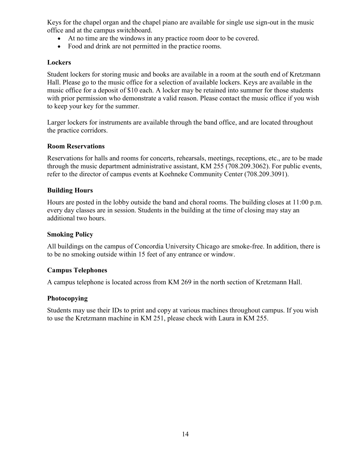Keys for the chapel organ and the chapel piano are available for single use sign-out in the music office and at the campus switchboard.

- At no time are the windows in any practice room door to be covered.
- Food and drink are not permitted in the practice rooms.

#### **Lockers**

Student lockers for storing music and books are available in a room at the south end of Kretzmann Hall. Please go to the music office for a selection of available lockers. Keys are available in the music office for a deposit of \$10 each. A locker may be retained into summer for those students with prior permission who demonstrate a valid reason. Please contact the music office if you wish to keep your key for the summer.

Larger lockers for instruments are available through the band office, and are located throughout the practice corridors.

#### Room Reservations

Reservations for halls and rooms for concerts, rehearsals, meetings, receptions, etc., are to be made through the music department administrative assistant, KM 255 (708.209.3062). For public events, refer to the director of campus events at Koehneke Community Center (708.209.3091).

#### Building Hours

Hours are posted in the lobby outside the band and choral rooms. The building closes at 11:00 p.m. every day classes are in session. Students in the building at the time of closing may stay an additional two hours.

#### Smoking Policy

All buildings on the campus of Concordia University Chicago are smoke-free. In addition, there is to be no smoking outside within 15 feet of any entrance or window.

#### Campus Telephones

A campus telephone is located across from KM 269 in the north section of Kretzmann Hall.

#### Photocopying

Students may use their IDs to print and copy at various machines throughout campus. If you wish to use the Kretzmann machine in KM 251, please check with Laura in KM 255.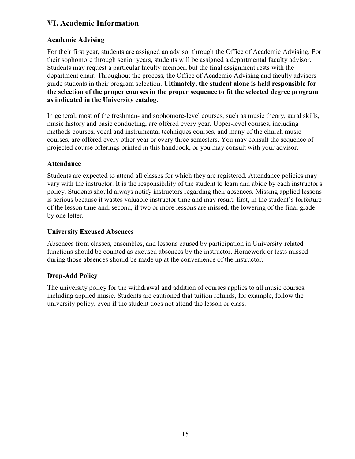# VI. Academic Information

# Academic Advising

For their first year, students are assigned an advisor through the Office of Academic Advising. For their sophomore through senior years, students will be assigned a departmental faculty advisor. Students may request a particular faculty member, but the final assignment rests with the department chair. Throughout the process, the Office of Academic Advising and faculty advisers guide students in their program selection. Ultimately, the student alone is held responsible for the selection of the proper courses in the proper sequence to fit the selected degree program as indicated in the University catalog.

In general, most of the freshman- and sophomore-level courses, such as music theory, aural skills, music history and basic conducting, are offered every year. Upper-level courses, including methods courses, vocal and instrumental techniques courses, and many of the church music courses, are offered every other year or every three semesters. You may consult the sequence of projected course offerings printed in this handbook, or you may consult with your advisor.

## Attendance

Students are expected to attend all classes for which they are registered. Attendance policies may vary with the instructor. It is the responsibility of the student to learn and abide by each instructor's policy. Students should always notify instructors regarding their absences. Missing applied lessons is serious because it wastes valuable instructor time and may result, first, in the student's forfeiture of the lesson time and, second, if two or more lessons are missed, the lowering of the final grade by one letter.

### University Excused Absences

Absences from classes, ensembles, and lessons caused by participation in University-related functions should be counted as excused absences by the instructor. Homework or tests missed during those absences should be made up at the convenience of the instructor.

## Drop-Add Policy

The university policy for the withdrawal and addition of courses applies to all music courses, including applied music. Students are cautioned that tuition refunds, for example, follow the university policy, even if the student does not attend the lesson or class.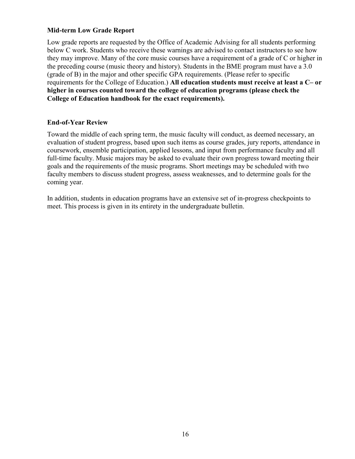#### Mid-term Low Grade Report

Low grade reports are requested by the Office of Academic Advising for all students performing below C work. Students who receive these warnings are advised to contact instructors to see how they may improve. Many of the core music courses have a requirement of a grade of C or higher in the preceding course (music theory and history). Students in the BME program must have a 3.0 (grade of B) in the major and other specific GPA requirements. (Please refer to specific requirements for the College of Education.) All education students must receive at least a C– or higher in courses counted toward the college of education programs (please check the College of Education handbook for the exact requirements).

#### End-of-Year Review

Toward the middle of each spring term, the music faculty will conduct, as deemed necessary, an evaluation of student progress, based upon such items as course grades, jury reports, attendance in coursework, ensemble participation, applied lessons, and input from performance faculty and all full-time faculty. Music majors may be asked to evaluate their own progress toward meeting their goals and the requirements of the music programs. Short meetings may be scheduled with two faculty members to discuss student progress, assess weaknesses, and to determine goals for the coming year.

In addition, students in education programs have an extensive set of in-progress checkpoints to meet. This process is given in its entirety in the undergraduate bulletin.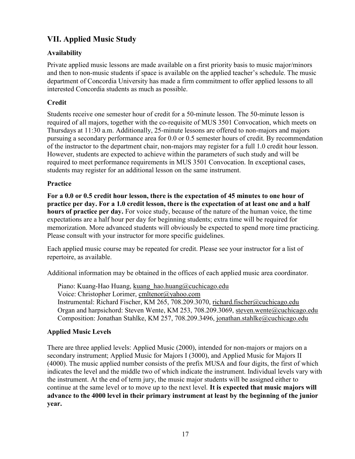# VII. Applied Music Study

## Availability

Private applied music lessons are made available on a first priority basis to music major/minors and then to non-music students if space is available on the applied teacher's schedule. The music department of Concordia University has made a firm commitment to offer applied lessons to all interested Concordia students as much as possible.

## **Credit**

Students receive one semester hour of credit for a 50-minute lesson. The 50-minute lesson is required of all majors, together with the co-requisite of MUS 3501 Convocation, which meets on Thursdays at 11:30 a.m. Additionally, 25-minute lessons are offered to non-majors and majors pursuing a secondary performance area for 0.0 or 0.5 semester hours of credit. By recommendation of the instructor to the department chair, non-majors may register for a full 1.0 credit hour lesson. However, students are expected to achieve within the parameters of such study and will be required to meet performance requirements in MUS 3501 Convocation. In exceptional cases, students may register for an additional lesson on the same instrument.

## Practice

For a 0.0 or 0.5 credit hour lesson, there is the expectation of 45 minutes to one hour of practice per day. For a 1.0 credit lesson, there is the expectation of at least one and a half hours of practice per day. For voice study, because of the nature of the human voice, the time expectations are a half hour per day for beginning students; extra time will be required for memorization. More advanced students will obviously be expected to spend more time practicing. Please consult with your instructor for more specific guidelines.

Each applied music course may be repeated for credit. Please see your instructor for a list of repertoire, as available.

Additional information may be obtained in the offices of each applied music area coordinator.

Piano: Kuang-Hao Huang, kuang\_hao.huang@cuchicago.edu Voice: Christopher Lorimer, cmltenor@yahoo.com Instrumental: Richard Fischer, KM 265, 708.209.3070, richard.fischer@cuchicago.edu Organ and harpsichord: Steven Wente, KM 253, 708.209.3069, steven.wente@cuchicago.edu Composition: Jonathan Stahlke, KM 257, 708.209.3496, jonathan.stahlke@cuchicago.edu

## Applied Music Levels

There are three applied levels: Applied Music (2000), intended for non-majors or majors on a secondary instrument; Applied Music for Majors I (3000), and Applied Music for Majors II (4000). The music applied number consists of the prefix MUSA and four digits, the first of which indicates the level and the middle two of which indicate the instrument. Individual levels vary with the instrument. At the end of term jury, the music major students will be assigned either to continue at the same level or to move up to the next level. It is expected that music majors will advance to the 4000 level in their primary instrument at least by the beginning of the junior year.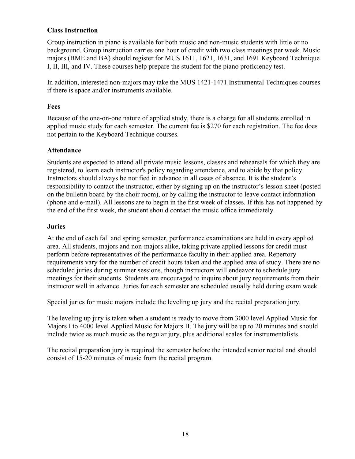#### Class Instruction

Group instruction in piano is available for both music and non-music students with little or no background. Group instruction carries one hour of credit with two class meetings per week. Music majors (BME and BA) should register for MUS 1611, 1621, 1631, and 1691 Keyboard Technique I, II, III, and IV. These courses help prepare the student for the piano proficiency test.

In addition, interested non-majors may take the MUS 1421-1471 Instrumental Techniques courses if there is space and/or instruments available.

#### Fees

Because of the one-on-one nature of applied study, there is a charge for all students enrolled in applied music study for each semester. The current fee is \$270 for each registration. The fee does not pertain to the Keyboard Technique courses.

#### Attendance

Students are expected to attend all private music lessons, classes and rehearsals for which they are registered, to learn each instructor's policy regarding attendance, and to abide by that policy. Instructors should always be notified in advance in all cases of absence. It is the student's responsibility to contact the instructor, either by signing up on the instructor's lesson sheet (posted on the bulletin board by the choir room), or by calling the instructor to leave contact information (phone and e-mail). All lessons are to begin in the first week of classes. If this has not happened by the end of the first week, the student should contact the music office immediately.

#### Juries

At the end of each fall and spring semester, performance examinations are held in every applied area. All students, majors and non-majors alike, taking private applied lessons for credit must perform before representatives of the performance faculty in their applied area. Repertory requirements vary for the number of credit hours taken and the applied area of study. There are no scheduled juries during summer sessions, though instructors will endeavor to schedule jury meetings for their students. Students are encouraged to inquire about jury requirements from their instructor well in advance. Juries for each semester are scheduled usually held during exam week.

Special juries for music majors include the leveling up jury and the recital preparation jury.

The leveling up jury is taken when a student is ready to move from 3000 level Applied Music for Majors I to 4000 level Applied Music for Majors II. The jury will be up to 20 minutes and should include twice as much music as the regular jury, plus additional scales for instrumentalists.

The recital preparation jury is required the semester before the intended senior recital and should consist of 15-20 minutes of music from the recital program.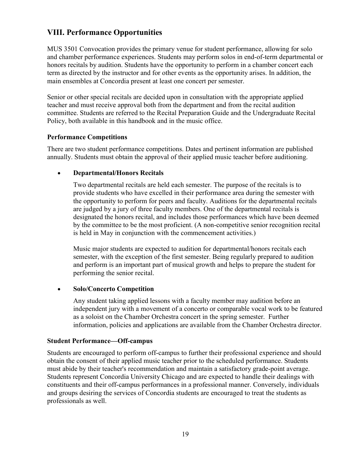# VIII. Performance Opportunities

MUS 3501 Convocation provides the primary venue for student performance, allowing for solo and chamber performance experiences. Students may perform solos in end-of-term departmental or honors recitals by audition. Students have the opportunity to perform in a chamber concert each term as directed by the instructor and for other events as the opportunity arises. In addition, the main ensembles at Concordia present at least one concert per semester.

Senior or other special recitals are decided upon in consultation with the appropriate applied teacher and must receive approval both from the department and from the recital audition committee. Students are referred to the Recital Preparation Guide and the Undergraduate Recital Policy, both available in this handbook and in the music office.

#### Performance Competitions

There are two student performance competitions. Dates and pertinent information are published annually. Students must obtain the approval of their applied music teacher before auditioning.

#### Departmental/Honors Recitals

Two departmental recitals are held each semester. The purpose of the recitals is to provide students who have excelled in their performance area during the semester with the opportunity to perform for peers and faculty. Auditions for the departmental recitals are judged by a jury of three faculty members. One of the departmental recitals is designated the honors recital, and includes those performances which have been deemed by the committee to be the most proficient. (A non-competitive senior recognition recital is held in May in conjunction with the commencement activities.)

Music major students are expected to audition for departmental/honors recitals each semester, with the exception of the first semester. Being regularly prepared to audition and perform is an important part of musical growth and helps to prepare the student for performing the senior recital.

#### • Solo/Concerto Competition

Any student taking applied lessons with a faculty member may audition before an independent jury with a movement of a concerto or comparable vocal work to be featured as a soloist on the Chamber Orchestra concert in the spring semester. Further information, policies and applications are available from the Chamber Orchestra director.

#### Student Performance—Off-campus

Students are encouraged to perform off-campus to further their professional experience and should obtain the consent of their applied music teacher prior to the scheduled performance. Students must abide by their teacher's recommendation and maintain a satisfactory grade-point average. Students represent Concordia University Chicago and are expected to handle their dealings with constituents and their off-campus performances in a professional manner. Conversely, individuals and groups desiring the services of Concordia students are encouraged to treat the students as professionals as well.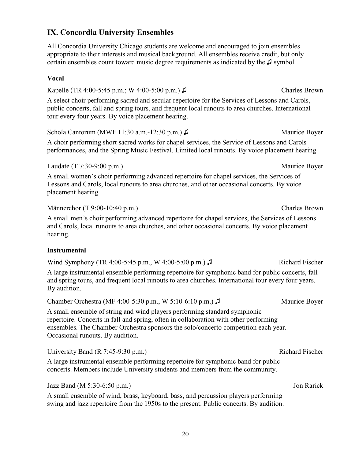# IX. Concordia University Ensembles

All Concordia University Chicago students are welcome and encouraged to join ensembles appropriate to their interests and musical background. All ensembles receive credit, but only certain ensembles count toward music degree requirements as indicated by the ♫ symbol.

#### Vocal

Kapelle (TR 4:00-5:45 p.m.; W 4:00-5:00 p.m.) ♫ Charles Brown A select choir performing sacred and secular repertoire for the Services of Lessons and Carols, public concerts, fall and spring tours, and frequent local runouts to area churches. International tour every four years. By voice placement hearing.

Schola Cantorum (MWF 11:30 a.m.-12:30 p.m.) ♪ Maurice Boyer A choir performing short sacred works for chapel services, the Service of Lessons and Carols performances, and the Spring Music Festival. Limited local runouts. By voice placement hearing.

Laudate (T 7:30-9:00 p.m.) Maurice Boyer

A small women's choir performing advanced repertoire for chapel services, the Services of Lessons and Carols, local runouts to area churches, and other occasional concerts. By voice placement hearing.

Männerchor (T 9:00-10:40 p.m.) Charles Brown

A small men's choir performing advanced repertoire for chapel services, the Services of Lessons and Carols, local runouts to area churches, and other occasional concerts. By voice placement hearing.

#### **Instrumental**

Wind Symphony (TR 4:00-5:45 p.m., W 4:00-5:00 p.m.) ♪ Richard Fischer

A large instrumental ensemble performing repertoire for symphonic band for public concerts, fall and spring tours, and frequent local runouts to area churches. International tour every four years. By audition.

Chamber Orchestra (MF 4:00-5:30 p.m., W 5:10-6:10 p.m.) ♪ Maurice Boyer

A small ensemble of string and wind players performing standard symphonic repertoire. Concerts in fall and spring, often in collaboration with other performing ensembles. The Chamber Orchestra sponsors the solo/concerto competition each year. Occasional runouts. By audition.

University Band (R 7:45-9:30 p.m.) Richard Fischer

A large instrumental ensemble performing repertoire for symphonic band for public concerts. Members include University students and members from the community.

Jazz Band (M 5:30-6:50 p.m.) Jon Rarick

A small ensemble of wind, brass, keyboard, bass, and percussion players performing swing and jazz repertoire from the 1950s to the present. Public concerts. By audition.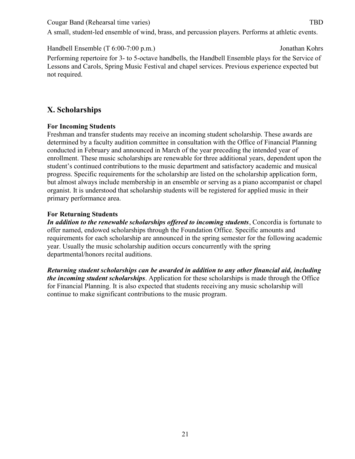Cougar Band (Rehearsal time varies) TBD

A small, student-led ensemble of wind, brass, and percussion players. Performs at athletic events.

Handbell Ensemble (T 6:00-7:00 p.m.) Jonathan Kohrs

Performing repertoire for 3- to 5-octave handbells, the Handbell Ensemble plays for the Service of Lessons and Carols, Spring Music Festival and chapel services. Previous experience expected but not required.

# X. Scholarships

## For Incoming Students

Freshman and transfer students may receive an incoming student scholarship. These awards are determined by a faculty audition committee in consultation with the Office of Financial Planning conducted in February and announced in March of the year preceding the intended year of enrollment. These music scholarships are renewable for three additional years, dependent upon the student's continued contributions to the music department and satisfactory academic and musical progress. Specific requirements for the scholarship are listed on the scholarship application form, but almost always include membership in an ensemble or serving as a piano accompanist or chapel organist. It is understood that scholarship students will be registered for applied music in their primary performance area.

## For Returning Students

21

In addition to the renewable scholarships offered to incoming students, Concordia is fortunate to offer named, endowed scholarships through the Foundation Office. Specific amounts and requirements for each scholarship are announced in the spring semester for the following academic year. Usually the music scholarship audition occurs concurrently with the spring departmental/honors recital auditions.

Returning student scholarships can be awarded in addition to any other financial aid, including the incoming student scholarships. Application for these scholarships is made through the Office for Financial Planning. It is also expected that students receiving any music scholarship will continue to make significant contributions to the music program.